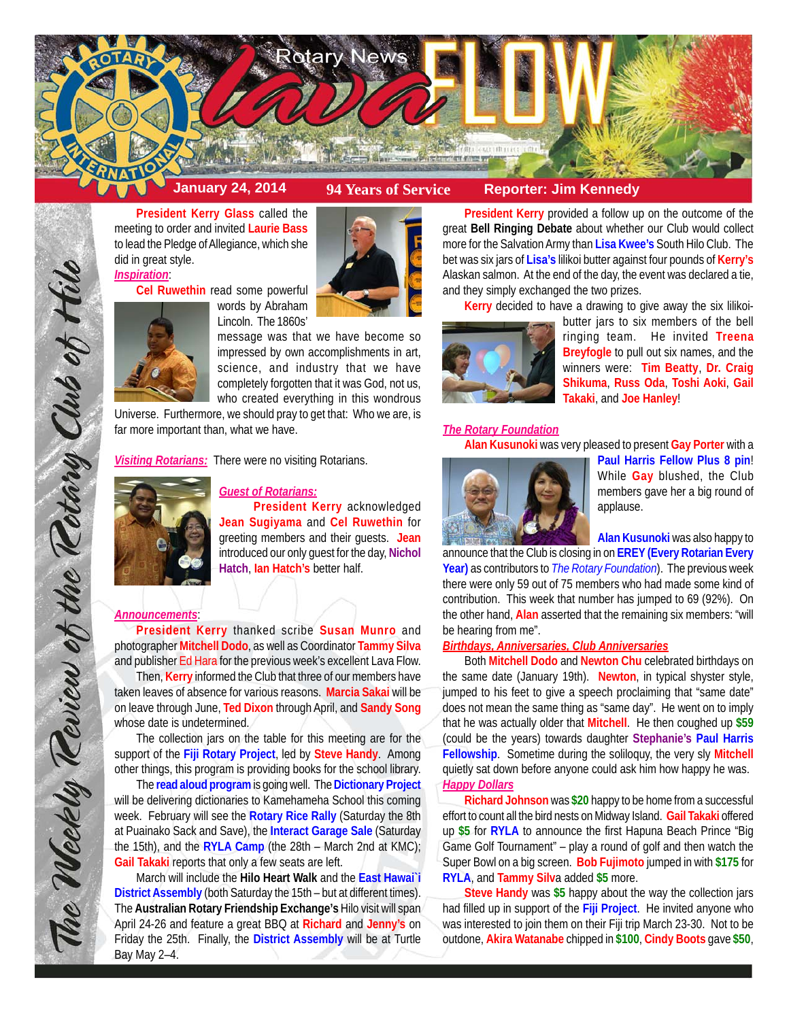



**President Kerry Glass** called the meeting to order and invited **Laurie Bass** to lead the Pledge of Allegiance, which she did in great style. *Inspiration*:

**Cel Ruwethin** read some powerful



words by Abraham Lincoln. The 1860s'

message was that we have become so impressed by own accomplishments in art, science, and industry that we have completely forgotten that it was God, not us, who created everything in this wondrous

Universe. Furthermore, we should pray to get that: Who we are, is far more important than, what we have.

*Visiting Rotarians:* There were no visiting Rotarians.



# *Guest of Rotarians:*

**President Kerry** acknowledged **Jean Sugiyama** and **Cel Ruwethin** for greeting members and their guests. **Jean** introduced our only guest for the day, **Nichol Hatch**, **Ian Hatch's** better half.

# *Announcements*:

The Weekly Teview of the Tetary Club of Hilo

**President Kerry** thanked scribe **Susan Munro** and photographer **Mitchell Dodo**, as well as Coordinator **Tammy Silva** and publisher Ed Hara for the previous week's excellent Lava Flow.

Then, **Kerry** informed the Club that three of our members have taken leaves of absence for various reasons. **Marcia Sakai** will be on leave through June, **Ted Dixon** through April, and **Sandy Song** whose date is undetermined.

The collection jars on the table for this meeting are for the support of the **Fiji Rotary Project**, led by **Steve Handy**. Among other things, this program is providing books for the school library.

The **read aloud program** is going well. The **Dictionary Project** will be delivering dictionaries to Kamehameha School this coming week. February will see the **Rotary Rice Rally** (Saturday the 8th at Puainako Sack and Save), the **Interact Garage Sale** (Saturday the 15th), and the **RYLA Camp** (the 28th – March 2nd at KMC); **Gail Takaki** reports that only a few seats are left.

March will include the **Hilo Heart Walk** and the **East Hawai`i District Assembly** (both Saturday the 15th – but at different times). The **Australian Rotary Friendship Exchange's** Hilo visit will span April 24-26 and feature a great BBQ at **Richard** and **Jenny's** on Friday the 25th. Finally, the **District Assembly** will be at Turtle Bay May 2–4.

**President Kerry** provided a follow up on the outcome of the great **Bell Ringing Debate** about whether our Club would collect more for the Salvation Army than **Lisa Kwee's** South Hilo Club. The bet was six jars of **Lisa's** lilikoi butter against four pounds of **Kerry's** Alaskan salmon. At the end of the day, the event was declared a tie, and they simply exchanged the two prizes.

**Kerry** decided to have a drawing to give away the six lilikoi-



butter jars to six members of the bell ringing team. He invited **Treena Breyfogle** to pull out six names, and the winners were: **Tim Beatty**, **Dr. Craig Shikuma**, **Russ Oda**, **Toshi Aoki**, **Gail Takaki**, and **Joe Hanley**!

#### *The Rotary Foundation*

**Alan Kusunoki** was very pleased to present **Gay Porter** with a



**Paul Harris Fellow Plus 8 pin**! While **Gay** blushed, the Club members gave her a big round of applause.

**Alan Kusunoki** was also happy to

announce that the Club is closing in on **EREY (Every Rotarian Every Year)** as contributors to *The Rotary Foundation*). The previous week there were only 59 out of 75 members who had made some kind of contribution. This week that number has jumped to 69 (92%). On the other hand, **Alan** asserted that the remaining six members: "will be hearing from me".

# *Birthdays, Anniversaries, Club Anniversaries*

Both **Mitchell Dodo** and **Newton Chu** celebrated birthdays on the same date (January 19th). **Newton**, in typical shyster style, jumped to his feet to give a speech proclaiming that "same date" does not mean the same thing as "same day". He went on to imply that he was actually older that **Mitchell**. He then coughed up **\$59** (could be the years) towards daughter **Stephanie's Paul Harris Fellowship**. Sometime during the soliloquy, the very sly **Mitchell** quietly sat down before anyone could ask him how happy he was. *Happy Dollars*

**Richard Johnson** was **\$20** happy to be home from a successful effort to count all the bird nests on Midway Island. **Gail Takaki** offered up **\$5** for **RYLA** to announce the first Hapuna Beach Prince "Big Game Golf Tournament" – play a round of golf and then watch the Super Bowl on a big screen. **Bob Fujimoto** jumped in with **\$175** for **RYLA**, and **Tammy Silv**a added **\$5** more.

**Steve Handy** was **\$5** happy about the way the collection jars had filled up in support of the **Fiji Project**. He invited anyone who was interested to join them on their Fiji trip March 23-30. Not to be outdone, **Akira Watanabe** chipped in **\$100**, **Cindy Boots** gave **\$50**,